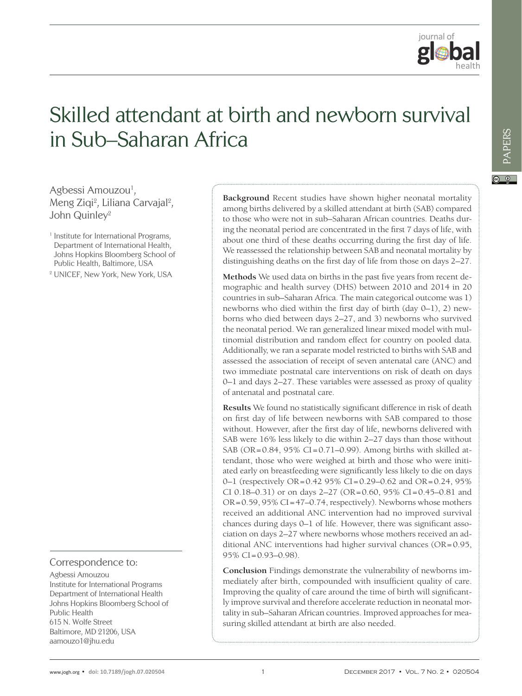

# Skilled attendant at birth and newborn survival in Sub–Saharan Africa

PAPERS

**PAPERS** 

Agbessi Amouzou<sup>1</sup>, Meng Ziqi<sup>2</sup>, Liliana Carvajal<sup>2</sup>, John Quinley<sup>2</sup>

- <sup>1</sup> Institute for International Programs, Department of International Health, Johns Hopkins Bloomberg School of Public Health, Baltimore, USA
- <sup>2</sup> UNICEF, New York, New York, USA

## Correspondence to:

Agbessi Amouzou Institute for International Programs Department of International Health Johns Hopkins Bloomberg School of Public Health 615 N. Wolfe Street Baltimore, MD 21206, USA aamouzo1@jhu.edu

**Background** Recent studies have shown higher neonatal mortality among births delivered by a skilled attendant at birth (SAB) compared to those who were not in sub–Saharan African countries. Deaths during the neonatal period are concentrated in the first 7 days of life, with about one third of these deaths occurring during the first day of life. We reassessed the relationship between SAB and neonatal mortality by distinguishing deaths on the first day of life from those on days 2–27.

**Methods** We used data on births in the past five years from recent demographic and health survey (DHS) between 2010 and 2014 in 20 countries in sub–Saharan Africa. The main categorical outcome was 1) newborns who died within the first day of birth (day 0–1), 2) newborns who died between days 2–27, and 3) newborns who survived the neonatal period. We ran generalized linear mixed model with multinomial distribution and random effect for country on pooled data. Additionally, we ran a separate model restricted to births with SAB and assessed the association of receipt of seven antenatal care (ANC) and two immediate postnatal care interventions on risk of death on days 0–1 and days 2–27. These variables were assessed as proxy of quality of antenatal and postnatal care.

**Results** We found no statistically significant difference in risk of death on first day of life between newborns with SAB compared to those without. However, after the first day of life, newborns delivered with SAB were 16% less likely to die within 2–27 days than those without SAB ( $OR = 0.84$ ,  $95\%$   $CI = 0.71 - 0.99$ ). Among births with skilled attendant, those who were weighed at birth and those who were initiated early on breastfeeding were significantly less likely to die on days 0–1 (respectively OR=0.42 95% CI=0.29–0.62 and OR=0.24, 95% CI 0.18–0.31) or on days 2–27 (OR=0.60, 95% CI=0.45–0.81 and OR=0.59, 95% CI=47–0.74, respectively). Newborns whose mothers received an additional ANC intervention had no improved survival chances during days 0–1 of life. However, there was significant association on days 2–27 where newborns whose mothers received an additional ANC interventions had higher survival chances (OR=0.95,  $95\%$  CI = 0.93–0.98).

**Conclusion** Findings demonstrate the vulnerability of newborns immediately after birth, compounded with insufficient quality of care. Improving the quality of care around the time of birth will significantly improve survival and therefore accelerate reduction in neonatal mortality in sub–Saharan African countries. Improved approaches for measuring skilled attendant at birth are also needed.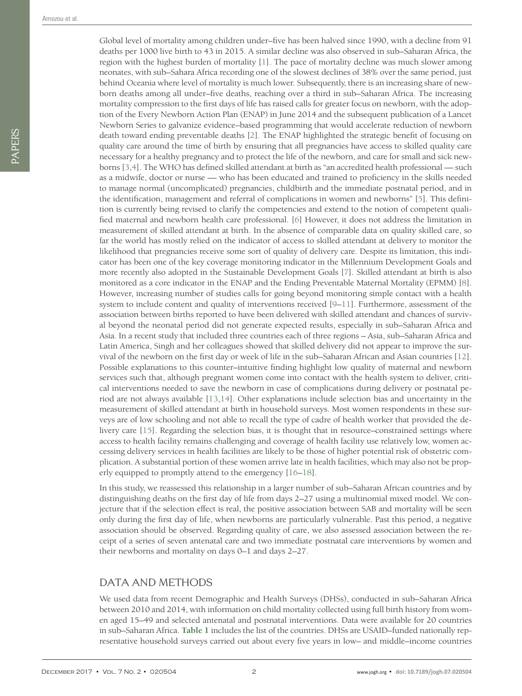PAPERS

Global level of mortality among children under–five has been halved since 1990, with a decline from 91 deaths per 1000 live birth to 43 in 2015. A similar decline was also observed in sub–Saharan Africa, the region with the highest burden of mortality [[1](#page-9-0)]. The pace of mortality decline was much slower among neonates, with sub–Sahara Africa recording one of the slowest declines of 38% over the same period, just behind Oceania where level of mortality is much lower. Subsequently, there is an increasing share of newborn deaths among all under–five deaths, reaching over a third in sub–Saharan Africa. The increasing mortality compression to the first days of life has raised calls for greater focus on newborn, with the adoption of the Every Newborn Action Plan (ENAP) in June 2014 and the subsequent publication of a Lancet Newborn Series to galvanize evidence–based programming that would accelerate reduction of newborn death toward ending preventable deaths [[2\]](#page-9-1). The ENAP highlighted the strategic benefit of focusing on quality care around the time of birth by ensuring that all pregnancies have access to skilled quality care necessary for a healthy pregnancy and to protect the life of the newborn, and care for small and sick newborns [[3](#page-9-2)[,4\]](#page-9-3). The WHO has defined skilled attendant at birth as "an accredited health professional — such as a midwife, doctor or nurse — who has been educated and trained to proficiency in the skills needed to manage normal (uncomplicated) pregnancies, childbirth and the immediate postnatal period, and in the identification, management and referral of complications in women and newborns" [\[5](#page-9-4)]. This definition is currently being revised to clarify the competencies and extend to the notion of competent qualified maternal and newborn health care professional. [\[6\]](#page-9-5) However, it does not address the limitation in measurement of skilled attendant at birth. In the absence of comparable data on quality skilled care, so far the world has mostly relied on the indicator of access to skilled attendant at delivery to monitor the likelihood that pregnancies receive some sort of quality of delivery care. Despite its limitation, this indicator has been one of the key coverage monitoring indicator in the Millennium Development Goals and more recently also adopted in the Sustainable Development Goals [[7](#page-9-6)]. Skilled attendant at birth is also monitored as a core indicator in the ENAP and the Ending Preventable Maternal Mortality (EPMM) [[8](#page-9-7)]. However, increasing number of studies calls for going beyond monitoring simple contact with a health system to include content and quality of interventions received [\[9](#page-9-8)–[11](#page-9-9)]. Furthermore, assessment of the association between births reported to have been delivered with skilled attendant and chances of survival beyond the neonatal period did not generate expected results, especially in sub–Saharan Africa and Asia. In a recent study that included three countries each of three regions – Asia, sub–Saharan Africa and Latin America, Singh and her colleagues showed that skilled delivery did not appear to improve the survival of the newborn on the first day or week of life in the sub–Saharan African and Asian countries [[12](#page-9-10)]. Possible explanations to this counter–intuitive finding highlight low quality of maternal and newborn services such that, although pregnant women come into contact with the health system to deliver, critical interventions needed to save the newborn in case of complications during delivery or postnatal period are not always available [[13](#page-9-11)[,14](#page-9-12)]. Other explanations include selection bias and uncertainty in the measurement of skilled attendant at birth in household surveys. Most women respondents in these surveys are of low schooling and not able to recall the type of cadre of health worker that provided the delivery care [[15](#page-9-13)]. Regarding the selection bias, it is thought that in resource–constrained settings where access to health facility remains challenging and coverage of health facility use relatively low, women accessing delivery services in health facilities are likely to be those of higher potential risk of obstetric complication. A substantial portion of these women arrive late in health facilities, which may also not be properly equipped to promptly attend to the emergency [\[16](#page-9-14)–[18](#page-10-0)].

In this study, we reassessed this relationship in a larger number of sub–Saharan African countries and by distinguishing deaths on the first day of life from days 2–27 using a multinomial mixed model. We conjecture that if the selection effect is real, the positive association between SAB and mortality will be seen only during the first day of life, when newborns are particularly vulnerable. Past this period, a negative association should be observed. Regarding quality of care, we also assessed association between the receipt of a series of seven antenatal care and two immediate postnatal care interventions by women and their newborns and mortality on days 0–1 and days 2–27.

## DATA AND METHODS

We used data from recent Demographic and Health Surveys (DHSs), conducted in sub–Saharan Africa between 2010 and 2014, with information on child mortality collected using full birth history from women aged 15–49 and selected antenatal and postnatal interventions. Data were available for 20 countries in sub–Saharan Africa. **[Table 1](#page-4-0)** includes the list of the countries. DHSs are USAID–funded nationally representative household surveys carried out about every five years in low– and middle–income countries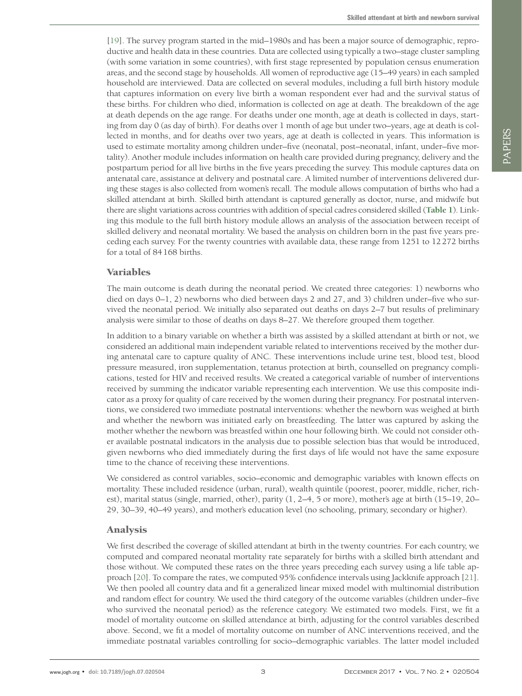[[19\]](#page-10-1). The survey program started in the mid–1980s and has been a major source of demographic, reproductive and health data in these countries. Data are collected using typically a two–stage cluster sampling (with some variation in some countries), with first stage represented by population census enumeration areas, and the second stage by households. All women of reproductive age (15–49 years) in each sampled household are interviewed. Data are collected on several modules, including a full birth history module that captures information on every live birth a woman respondent ever had and the survival status of these births. For children who died, information is collected on age at death. The breakdown of the age at death depends on the age range. For deaths under one month, age at death is collected in days, starting from day 0 (as day of birth). For deaths over 1 month of age but under two–years, age at death is collected in months, and for deaths over two years, age at death is collected in years. This information is used to estimate mortality among children under–five (neonatal, post–neonatal, infant, under–five mortality). Another module includes information on health care provided during pregnancy, delivery and the postpartum period for all live births in the five years preceding the survey. This module captures data on antenatal care, assistance at delivery and postnatal care. A limited number of interventions delivered during these stages is also collected from women's recall. The module allows computation of births who had a skilled attendant at birth. Skilled birth attendant is captured generally as doctor, nurse, and midwife but there are slight variations across countries with addition of special cadres considered skilled (**[Table 1](#page-4-0)**). Linking this module to the full birth history module allows an analysis of the association between receipt of skilled delivery and neonatal mortality. We based the analysis on children born in the past five years preceding each survey. For the twenty countries with available data, these range from 1251 to 12272 births for a total of 84168 births.

#### Variables

The main outcome is death during the neonatal period. We created three categories: 1) newborns who died on days 0–1, 2) newborns who died between days 2 and 27, and 3) children under–five who survived the neonatal period. We initially also separated out deaths on days 2–7 but results of preliminary analysis were similar to those of deaths on days 8–27. We therefore grouped them together.

In addition to a binary variable on whether a birth was assisted by a skilled attendant at birth or not, we considered an additional main independent variable related to interventions received by the mother during antenatal care to capture quality of ANC. These interventions include urine test, blood test, blood pressure measured, iron supplementation, tetanus protection at birth, counselled on pregnancy complications, tested for HIV and received results. We created a categorical variable of number of interventions received by summing the indicator variable representing each intervention. We use this composite indicator as a proxy for quality of care received by the women during their pregnancy. For postnatal interventions, we considered two immediate postnatal interventions: whether the newborn was weighed at birth and whether the newborn was initiated early on breastfeeding. The latter was captured by asking the mother whether the newborn was breastfed within one hour following birth. We could not consider other available postnatal indicators in the analysis due to possible selection bias that would be introduced, given newborns who died immediately during the first days of life would not have the same exposure time to the chance of receiving these interventions.

We considered as control variables, socio–economic and demographic variables with known effects on mortality. These included residence (urban, rural), wealth quintile (poorest, poorer, middle, richer, richest), marital status (single, married, other), parity (1, 2–4, 5 or more), mother's age at birth (15–19, 20– 29, 30–39, 40–49 years), and mother's education level (no schooling, primary, secondary or higher).

### Analysis

We first described the coverage of skilled attendant at birth in the twenty countries. For each country, we computed and compared neonatal mortality rate separately for births with a skilled birth attendant and those without. We computed these rates on the three years preceding each survey using a life table approach [[20](#page-10-2)]. To compare the rates, we computed 95% confidence intervals using Jackknife approach [\[21](#page-10-3)]. We then pooled all country data and fit a generalized linear mixed model with multinomial distribution and random effect for country. We used the third category of the outcome variables (children under–five who survived the neonatal period) as the reference category. We estimated two models. First, we fit a model of mortality outcome on skilled attendance at birth, adjusting for the control variables described above. Second, we fit a model of mortality outcome on number of ANC interventions received, and the immediate postnatal variables controlling for socio–demographic variables. The latter model included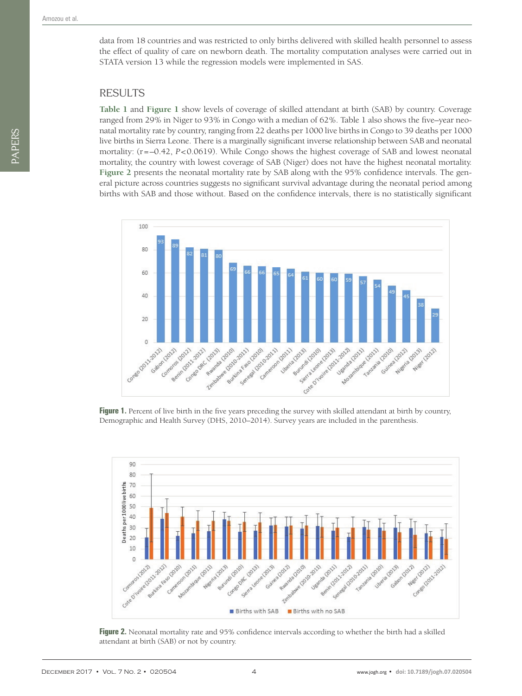PAPERS

data from 18 countries and was restricted to only births delivered with skilled health personnel to assess the effect of quality of care on newborn death. The mortality computation analyses were carried out in STATA version 13 while the regression models were implemented in SAS.

## RESULTS

**[Table 1](#page-4-0)** and **[Figure 1](#page-3-0)** show levels of coverage of skilled attendant at birth (SAB) by country. Coverage ranged from 29% in Niger to 93% in Congo with a median of 62%. Table 1 also shows the five–year neonatal mortality rate by country, ranging from 22 deaths per 1000 live births in Congo to 39 deaths per 1000 live births in Sierra Leone. There is a marginally significant inverse relationship between SAB and neonatal mortality: (r=–0.42, *P*<0.0619). While Congo shows the highest coverage of SAB and lowest neonatal mortality, the country with lowest coverage of SAB (Niger) does not have the highest neonatal mortality. **[Figure 2](#page-3-1)** presents the neonatal mortality rate by SAB along with the 95% confidence intervals. The general picture across countries suggests no significant survival advantage during the neonatal period among births with SAB and those without. Based on the confidence intervals, there is no statistically significant

<span id="page-3-0"></span>

**Figure 1.** Percent of live birth in the five years preceding the survey with skilled attendant at birth by country, Demographic and Health Survey (DHS, 2010–2014). Survey years are included in the parenthesis.

<span id="page-3-1"></span>

**Figure 2.** Neonatal mortality rate and 95% confidence intervals according to whether the birth had a skilled attendant at birth (SAB) or not by country.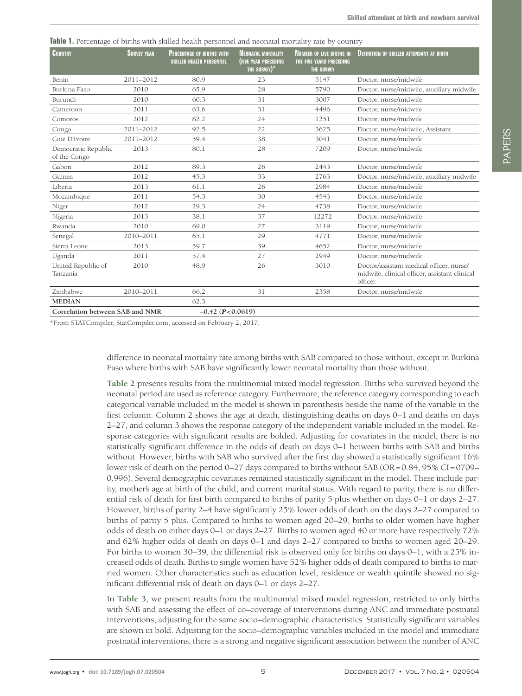| <b>COUNTRY</b>                      | <b>SURVEY YEAR</b> | <b>PERCENTAGE OF BIRTHS WITH</b><br><b>SKILLED HEALTH PERSONNEL</b> | <b>NEONATAL MORTALITY</b><br>(FIVE YEAR PRECEDING<br>THE SURVEY)* | <b>NUMBER OF LIVE BIRTHS IN</b><br>THE FIVE YEARS PRECEDING<br><b>THE SURVEY</b> | DEFINITION OF SKILLED ATTENDANT AT BIRTH                                                             |
|-------------------------------------|--------------------|---------------------------------------------------------------------|-------------------------------------------------------------------|----------------------------------------------------------------------------------|------------------------------------------------------------------------------------------------------|
| Benin                               | 2011-2012          | 80.9                                                                | 23                                                                | 5147                                                                             | Doctor, nurse/midwife                                                                                |
| Burkina Faso                        | 2010               | 65.9                                                                | 28                                                                | 5790                                                                             | Doctor, nurse/midwife, auxiliary midwife                                                             |
| Burundi                             | 2010               | 60.3                                                                | 31                                                                | 3007                                                                             | Doctor, nurse/midwife                                                                                |
| Cameroon                            | 2011               | 63.6                                                                | 31                                                                | 4496                                                                             | Doctor, nurse/midwife                                                                                |
| Comoros                             | 2012               | 82.2                                                                | 24                                                                | 1251                                                                             | Doctor, nurse/midwife                                                                                |
| Congo                               | 2011-2012          | 92.5                                                                | 22                                                                | 3625                                                                             | Doctor, nurse/midwife, Assistant                                                                     |
| Cote D'Ivoire                       | 2011-2012          | 59.4                                                                | 38                                                                | 3041                                                                             | Doctor, nurse/midwife                                                                                |
| Democratic Republic<br>of the Congo | 2013               | 80.1                                                                | 28                                                                | 7209                                                                             | Doctor, nurse/midwife                                                                                |
| Gabon                               | 2012               | 89.3                                                                | 26                                                                | 2443                                                                             | Doctor, nurse/midwife                                                                                |
| Guinea                              | 2012               | 45.3                                                                | 33                                                                | 2763                                                                             | Doctor, nurse/midwife, auxiliary midwife                                                             |
| Liberia                             | 2013               | 61.1                                                                | 26                                                                | 2984                                                                             | Doctor, nurse/midwife                                                                                |
| Mozambique                          | 2011               | 54.3                                                                | 30                                                                | 4543                                                                             | Doctor, nurse/midwife                                                                                |
| Niger                               | 2012               | 29.3                                                                | 24                                                                | 4738                                                                             | Doctor, nurse/midwife                                                                                |
| Nigeria                             | 2013               | 38.1                                                                | 37                                                                | 12272                                                                            | Doctor, nurse/midwife                                                                                |
| Rwanda                              | 2010               | 69.0                                                                | 27                                                                | 3119                                                                             | Doctor, nurse/midwife                                                                                |
| Senegal                             | 2010-2011          | 65.1                                                                | 29                                                                | 4771                                                                             | Doctor, nurse/midwife                                                                                |
| Sierra Leone                        | 2013               | 59.7                                                                | 39                                                                | 4652                                                                             | Doctor, nurse/midwife                                                                                |
| Uganda                              | 2011               | 57.4                                                                | 27                                                                | 2949                                                                             | Doctor, nurse/midwife                                                                                |
| United Republic of<br>Tanzania      | 2010               | 48.9                                                                | 26                                                                | 3010                                                                             | Doctor/assistant medical officer, nurse/<br>midwife, clinical officer, assistant clinical<br>officer |
| Zimbabwe                            | 2010-2011          | 66.2                                                                | 31                                                                | 2358                                                                             | Doctor, nurse/midwife                                                                                |
| <b>MEDIAN</b>                       |                    | 62.3                                                                |                                                                   |                                                                                  |                                                                                                      |
| Correlation between SAB and NMR     |                    | $-0.42$ (P < 0.0619)                                                |                                                                   |                                                                                  |                                                                                                      |

#### <span id="page-4-0"></span>**Table 1.** Percentage of births with skilled health personnel and neonatal mortality rate by country

\*From STATCompiler, StatCompiler.com, accessed on February 2, 2017.

difference in neonatal mortality rate among births with SAB compared to those without, except in Burkina Faso where births with SAB have significantly lower neonatal mortality than those without.

**[Table 2](#page-5-0)** presents results from the multinomial mixed model regression. Births who survived beyond the neonatal period are used as reference category. Furthermore, the reference category corresponding to each categorical variable included in the model is shown in parenthesis beside the name of the variable in the first column. Column 2 shows the age at death, distinguishing deaths on days 0–1 and deaths on days 2–27, and column 3 shows the response category of the independent variable included in the model. Response categories with significant results are bolded. Adjusting for covariates in the model, there is no statistically significant difference in the odds of death on days 0–1 between births with SAB and births without. However, births with SAB who survived after the first day showed a statistically significant 16% lower risk of death on the period  $0-27$  days compared to births without SAB (OR=0.84, 95% CI=0709– 0.996). Several demographic covariates remained statistically significant in the model. These include parity, mother's age at birth of the child, and current marital status. With regard to parity, there is no differential risk of death for first birth compared to births of parity 5 plus whether on days 0–1 or days 2–27. However, births of parity 2–4 have significantly 25% lower odds of death on the days 2–27 compared to births of parity 5 plus. Compared to births to women aged 20–29, births to older women have higher odds of death on either days 0–1 or days 2–27. Births to women aged 40 or more have respectively 72% and 62% higher odds of death on days 0–1 and days 2–27 compared to births to women aged 20–29. For births to women 30–39, the differential risk is observed only for births on days 0–1, with a 25% increased odds of death. Births to single women have 52% higher odds of death compared to births to married women. Other characteristics such as education level, residence or wealth quintile showed no significant differential risk of death on days 0–1 or days 2–27.

In **[Table 3](#page-6-0)**, we present results from the multinomial mixed model regression, restricted to only births with SAB and assessing the effect of co–coverage of interventions during ANC and immediate postnatal interventions, adjusting for the same socio–demographic characteristics. Statistically significant variables are shown in bold. Adjusting for the socio–demographic variables included in the model and immediate postnatal interventions, there is a strong and negative significant association between the number of ANC PAPERS

**PAPERS**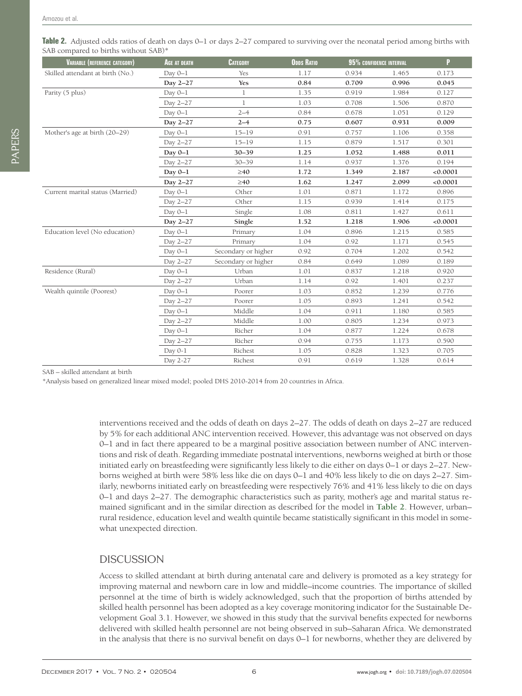| <b>VARIABLE (REFERENCE CATEGORY)</b> | <b>AGE AT DEATH</b> | <b>CATEGORY</b>     | <b>ODDS RATIO</b> |       | 95% CONFIDENCE INTERVAL | P        |
|--------------------------------------|---------------------|---------------------|-------------------|-------|-------------------------|----------|
| Skilled attendant at birth (No.)     | Day $0-1$           | Yes                 | 1.17              | 0.934 | 1.465                   | 0.173    |
|                                      | Day 2-27            | <b>Yes</b>          | 0.84              | 0.709 | 0.996                   | 0.045    |
| Parity (5 plus)                      | Day $0-1$           | $\mathbf 1$         | 1.35              | 0.919 | 1.984                   | 0.127    |
|                                      | Day 2-27            | 1                   | 1.03              | 0.708 | 1.506                   | 0.870    |
|                                      | Day $0-1$           | $2 - 4$             | 0.84              | 0.678 | 1.051                   | 0.129    |
|                                      | Day 2-27            | $2 - 4$             | 0.75              | 0.607 | 0.931                   | 0.009    |
| Mother's age at birth (20-29)        | Day $0-1$           | $15 - 19$           | 0.91              | 0.757 | 1.106                   | 0.358    |
|                                      | Day 2-27            | $15 - 19$           | 1.15              | 0.879 | 1.517                   | 0.301    |
|                                      | Day $0-1$           | $30 - 39$           | 1.25              | 1.052 | 1.488                   | 0.011    |
|                                      | Day 2-27            | $30 - 39$           | 1.14              | 0.937 | 1.376                   | 0.194    |
|                                      | Day $0-1$           | $\geq 40$           | 1.72              | 1.349 | 2.187                   | < 0.0001 |
|                                      | Day 2-27            | $\geq 40$           | 1.62              | 1.247 | 2.099                   | < 0.0001 |
| Current marital status (Married)     | Day $0-1$           | Other               | 1.01              | 0.871 | 1.172                   | 0.896    |
|                                      | Day 2-27            | Other               | 1.15              | 0.939 | 1.414                   | 0.175    |
|                                      | Day $0-1$           | Single              | 1.08              | 0.811 | 1.427                   | 0.611    |
|                                      | Day 2-27            | Single              | 1.52              | 1.218 | 1.906                   | < 0.0001 |
| Education level (No education)       | Day $0-1$           | Primary             | 1.04              | 0.896 | 1.215                   | 0.585    |
|                                      | Day 2-27            | Primary             | 1.04              | 0.92  | 1.171                   | 0.545    |
|                                      | Day $0-1$           | Secondary or higher | 0.92              | 0.704 | 1.202                   | 0.542    |
|                                      | Day 2-27            | Secondary or higher | 0.84              | 0.649 | 1.089                   | 0.189    |
| Residence (Rural)                    | Day $0-1$           | Urban               | 1.01              | 0.837 | 1.218                   | 0.920    |
|                                      | Day 2-27            | Urban               | 1.14              | 0.92  | 1.401                   | 0.237    |
| Wealth quintile (Poorest)            | Day $0-1$           | Poorer              | 1.03              | 0.852 | 1.239                   | 0.776    |
|                                      | Day 2-27            | Poorer              | 1.05              | 0.893 | 1.241                   | 0.542    |
|                                      | Day $0-1$           | Middle              | 1.04              | 0.911 | 1.180                   | 0.585    |
|                                      | Day 2-27            | Middle              | 1.00              | 0.805 | 1.234                   | 0.973    |
|                                      | Day $0-1$           | Richer              | 1.04              | 0.877 | 1.224                   | 0.678    |
|                                      | Day 2-27            | Richer              | 0.94              | 0.755 | 1.173                   | 0.590    |

<span id="page-5-0"></span>**Table 2.** Adjusted odds ratios of death on days 0–1 or days 2–27 compared to surviving over the neonatal period among births with SAB compared to births without SAB)\*

SAB – skilled attendant at birth

\*Analysis based on generalized linear mixed model; pooled DHS 2010-2014 from 20 countries in Africa.

interventions received and the odds of death on days 2–27. The odds of death on days 2–27 are reduced by 5% for each additional ANC intervention received. However, this advantage was not observed on days 0–1 and in fact there appeared to be a marginal positive association between number of ANC interventions and risk of death. Regarding immediate postnatal interventions, newborns weighed at birth or those initiated early on breastfeeding were significantly less likely to die either on days 0–1 or days 2–27. Newborns weighed at birth were 58% less like die on days 0–1 and 40% less likely to die on days 2–27. Similarly, newborns initiated early on breastfeeding were respectively 76% and 41% less likely to die on days 0–1 and days 2–27. The demographic characteristics such as parity, mother's age and marital status remained significant and in the similar direction as described for the model in **[Table 2](#page-5-0)**. However, urban– rural residence, education level and wealth quintile became statistically significant in this model in somewhat unexpected direction.

Day 0-1 Richest 1.05 0.828 1.323 0.705 Day 2-27 Richest 0.91 0.619 1.328 0.614

## **DISCUSSION**

Access to skilled attendant at birth during antenatal care and delivery is promoted as a key strategy for improving maternal and newborn care in low and middle–income countries. The importance of skilled personnel at the time of birth is widely acknowledged, such that the proportion of births attended by skilled health personnel has been adopted as a key coverage monitoring indicator for the Sustainable Development Goal 3.1. However, we showed in this study that the survival benefits expected for newborns delivered with skilled health personnel are not being observed in sub–Saharan Africa. We demonstrated in the analysis that there is no survival benefit on days 0–1 for newborns, whether they are delivered by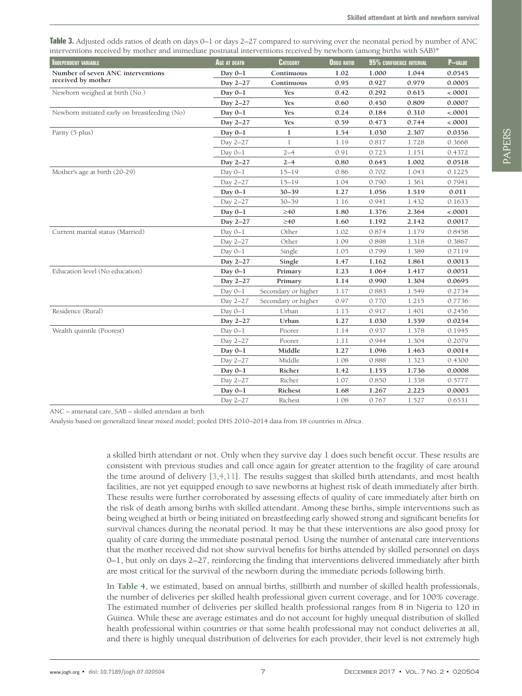<span id="page-6-0"></span>**Table 3.** Adjusted odds ratios of death on days 0–1 or days 2–27 compared to surviving over the neonatal period by number of ANC interventions received by mother and immediate postnatal interventions received by newborn (among births with SAB)\*

| <b>INDEPENDENT VARIABLE</b>                   | <b>AGE AT DEATH</b> | <b>CATEGORY</b>     | <b>ODDS RATIO</b> | 95% CONFIDENCE INTERVAL |       | P-VALUE  |  |
|-----------------------------------------------|---------------------|---------------------|-------------------|-------------------------|-------|----------|--|
| Number of seven ANC interventions             | Day $0-1$           | Continuous          | 1.02              | 1.000                   | 1.044 | 0.0545   |  |
| received by mother                            | Day 2-27            | Continuous          | 0.95              | 0.927                   | 0.979 | 0.0005   |  |
| Newborn weighed at birth (No.)                | Day $0-1$           | <b>Yes</b>          | 0.42              | 0.292                   | 0.615 | $-.0001$ |  |
|                                               | Day 2-27            | Yes                 | 0.60              | 0.450                   | 0.809 | 0.0007   |  |
| Newborn initiated early on breastfeeding (No) | Day $0-1$           | <b>Yes</b>          | 0.24              | 0.184                   | 0.310 | $-.0001$ |  |
|                                               | Day 2-27            | Yes                 | 0.59              | 0.473                   | 0.744 | $-.0001$ |  |
| Parity (5 plus)                               | Day $0-1$           | $\bf{1}$            | 1.54              | 1.030                   | 2.307 | 0.0356   |  |
|                                               | Day 2-27            | $\mathbf{1}$        | 1.19              | 0.817                   | 1.728 | 0.3668   |  |
|                                               | Day $0-1$           | $2 - 4$             | 0.91              | 0.723                   | 1.151 | 0.4372   |  |
|                                               | Day 2-27            | $2 - 4$             | 0.80              | 0.645                   | 1.002 | 0.0518   |  |
| Mother's age at birth (20-29)                 | Day $0-1$           | $15 - 19$           | 0.86              | 0.702                   | 1.043 | 0.1225   |  |
|                                               | Day 2-27            | $15 - 19$           | 1.04              | 0.790                   | 1.361 | 0.7941   |  |
|                                               | Day $0-1$           | $30 - 39$           | 1.27              | 1.056                   | 1.519 | 0.011    |  |
|                                               | Day 2-27            | $30 - 39$           | 1.16              | 0.941                   | 1.432 | 0.1633   |  |
|                                               | Day $0-1$           | $\geq 40$           | 1.80              | 1.376                   | 2.364 | $-.0001$ |  |
|                                               | Day 2-27            | $\geq 40$           | 1.60              | 1.192                   | 2.142 | 0.0017   |  |
| Current marital status (Married)              | Day $0-1$           | Other               | 1.02              | 0.874                   | 1.179 | 0.8458   |  |
|                                               | Day 2-27            | Other               | 1.09              | 0.898                   | 1.318 | 0.3867   |  |
|                                               | Day $0-1$           | Single              | 1.05              | 0.799                   | 1.389 | 0.7119   |  |
|                                               | Day 2-27            | Single              | 1.47              | 1.162                   | 1.861 | 0.0013   |  |
| Education level (No education)                | Day $0-1$           | Primary             | 1.23              | 1.064                   | 1.417 | 0.0051   |  |
|                                               | Day 2-27            | Primary             | 1.14              | 0.990                   | 1.304 | 0.0695   |  |
|                                               | Day $0-1$           | Secondary or higher | 1.17              | 0.883                   | 1.549 | 0.2734   |  |
|                                               | Day 2-27            | Secondary or higher | 0.97              | 0.770                   | 1.215 | 0.7736   |  |
| Residence (Rural)                             | Day $0-1$           | Urban               | 1.13              | 0.917                   | 1.401 | 0.2456   |  |
|                                               | Day 2-27            | Urban               | 1.27              | 1.030                   | 1.559 | 0.0254   |  |
| Wealth quintile (Poorest)                     | Day $0-1$           | Poorer              | 1.14              | 0.937                   | 1.378 | 0.1945   |  |
|                                               | Day 2-27            | Poorer              | 1.11              | 0.944                   | 1.304 | 0.2079   |  |
|                                               | Day $0-1$           | Middle              | 1.27              | 1.096                   | 1.463 | 0.0014   |  |
|                                               | Day 2-27            | Middle              | 1.08              | 0.888                   | 1.323 | 0.4300   |  |
|                                               | Day $0-1$           | Richer              | 1.42              | 1.155                   | 1.736 | 0.0008   |  |
|                                               | Day 2-27            | Richer              | 1.07              | 0.850                   | 1.338 | 0.5777   |  |
|                                               | Day $0-1$           | Richest             | 1.68              | 1.267                   | 2.225 | 0.0003   |  |
|                                               | Day 2-27            | Richest             | 1.08              | 0.767                   | 1.527 | 0.6531   |  |

ANC – antenatal care, SAB – skilled attendant at birth

Analysis based on generalized linear mixed model; pooled DHS 2010–2014 data from 18 countries in Africa.

a skilled birth attendant or not. Only when they survive day 1 does such benefit occur. These results are consistent with previous studies and call once again for greater attention to the fragility of care around the time around of delivery [[3](#page-9-2)[,4](#page-9-3)[,11\]](#page-9-9). The results suggest that skilled birth attendants, and most health facilities, are not yet equipped enough to save newborns at highest risk of death immediately after birth. These results were further corroborated by assessing effects of quality of care immediately after birth on the risk of death among births with skilled attendant. Among these births, simple interventions such as being weighed at birth or being initiated on breastfeeding early showed strong and significant benefits for survival chances during the neonatal period. It may be that these interventions are also good proxy for quality of care during the immediate postnatal period. Using the number of antenatal care interventions that the mother received did not show survival benefits for births attended by skilled personnel on days 0–1, but only on days 2–27, reinforcing the finding that interventions delivered immediately after birth are most critical for the survival of the newborn during the immediate periods following birth.

In **[Table 4](#page-8-0)**, we estimated, based on annual births, stillbirth and number of skilled health professionals, the number of deliveries per skilled health professional given current coverage, and for 100% coverage. The estimated number of deliveries per skilled health professional ranges from 8 in Nigeria to 120 in Guinea. While these are average estimates and do not account for highly unequal distribution of skilled health professional within countries or that some health professional may not conduct deliveries at all, and there is highly unequal distribution of deliveries for each provider, their level is not extremely high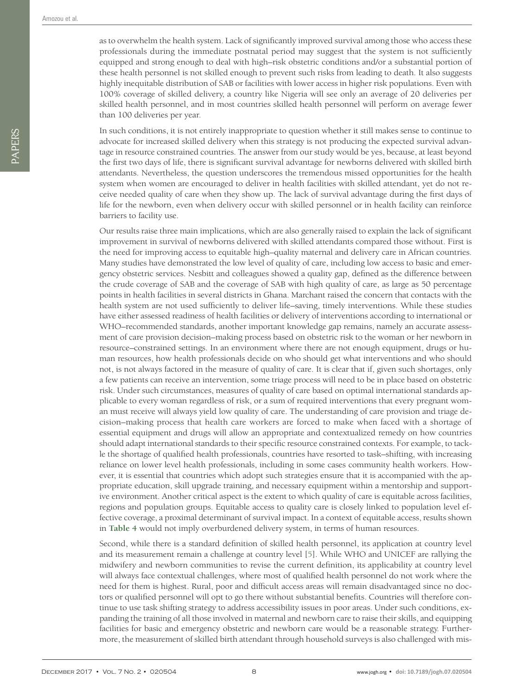as to overwhelm the health system. Lack of significantly improved survival among those who access these professionals during the immediate postnatal period may suggest that the system is not sufficiently equipped and strong enough to deal with high–risk obstetric conditions and/or a substantial portion of these health personnel is not skilled enough to prevent such risks from leading to death. It also suggests highly inequitable distribution of SAB or facilities with lower access in higher risk populations. Even with 100% coverage of skilled delivery, a country like Nigeria will see only an average of 20 deliveries per skilled health personnel, and in most countries skilled health personnel will perform on average fewer than 100 deliveries per year.

In such conditions, it is not entirely inappropriate to question whether it still makes sense to continue to advocate for increased skilled delivery when this strategy is not producing the expected survival advantage in resource constrained countries. The answer from our study would be yes, because, at least beyond the first two days of life, there is significant survival advantage for newborns delivered with skilled birth attendants. Nevertheless, the question underscores the tremendous missed opportunities for the health system when women are encouraged to deliver in health facilities with skilled attendant, yet do not receive needed quality of care when they show up. The lack of survival advantage during the first days of life for the newborn, even when delivery occur with skilled personnel or in health facility can reinforce barriers to facility use.

Our results raise three main implications, which are also generally raised to explain the lack of significant improvement in survival of newborns delivered with skilled attendants compared those without. First is the need for improving access to equitable high–quality maternal and delivery care in African countries. Many studies have demonstrated the low level of quality of care, including low access to basic and emergency obstetric services. Nesbitt and colleagues showed a quality gap, defined as the difference between the crude coverage of SAB and the coverage of SAB with high quality of care, as large as 50 percentage points in health facilities in several districts in Ghana. Marchant raised the concern that contacts with the health system are not used sufficiently to deliver life–saving, timely interventions. While these studies have either assessed readiness of health facilities or delivery of interventions according to international or WHO–recommended standards, another important knowledge gap remains, namely an accurate assessment of care provision decision–making process based on obstetric risk to the woman or her newborn in resource–constrained settings. In an environment where there are not enough equipment, drugs or human resources, how health professionals decide on who should get what interventions and who should not, is not always factored in the measure of quality of care. It is clear that if, given such shortages, only a few patients can receive an intervention, some triage process will need to be in place based on obstetric risk. Under such circumstances, measures of quality of care based on optimal international standards applicable to every woman regardless of risk, or a sum of required interventions that every pregnant woman must receive will always yield low quality of care. The understanding of care provision and triage decision–making process that health care workers are forced to make when faced with a shortage of essential equipment and drugs will allow an appropriate and contextualized remedy on how countries should adapt international standards to their specific resource constrained contexts. For example, to tackle the shortage of qualified health professionals, countries have resorted to task–shifting, with increasing reliance on lower level health professionals, including in some cases community health workers. However, it is essential that countries which adopt such strategies ensure that it is accompanied with the appropriate education, skill upgrade training, and necessary equipment within a mentorship and supportive environment. Another critical aspect is the extent to which quality of care is equitable across facilities, regions and population groups. Equitable access to quality care is closely linked to population level effective coverage, a proximal determinant of survival impact. In a context of equitable access, results shown in **[Table 4](#page-8-0)** would not imply overburdened delivery system, in terms of human resources.

Second, while there is a standard definition of skilled health personnel, its application at country level and its measurement remain a challenge at country level [[5](#page-9-4)]. While WHO and UNICEF are rallying the midwifery and newborn communities to revise the current definition, its applicability at country level will always face contextual challenges, where most of qualified health personnel do not work where the need for them is highest. Rural, poor and difficult access areas will remain disadvantaged since no doctors or qualified personnel will opt to go there without substantial benefits. Countries will therefore continue to use task shifting strategy to address accessibility issues in poor areas. Under such conditions, expanding the training of all those involved in maternal and newborn care to raise their skills, and equipping facilities for basic and emergency obstetric and newborn care would be a reasonable strategy. Furthermore, the measurement of skilled birth attendant through household surveys is also challenged with mis-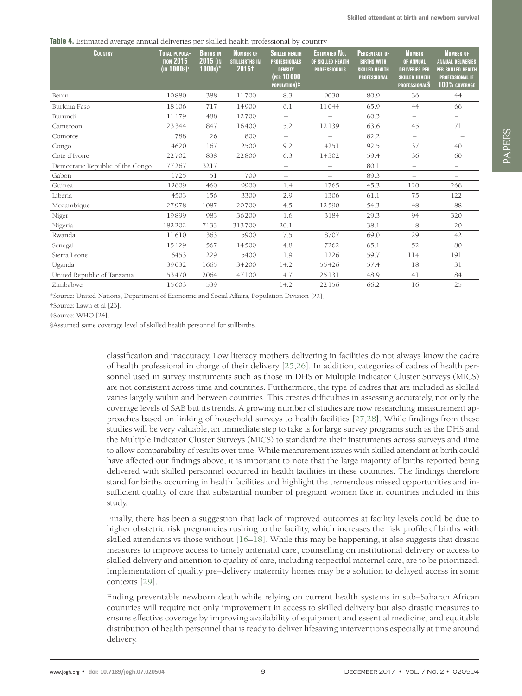<span id="page-8-0"></span>

|  |  |  |  |  |  |  | Table 4. Estimated average annual deliveries per skilled health professional by country |  |  |  |
|--|--|--|--|--|--|--|-----------------------------------------------------------------------------------------|--|--|--|
|--|--|--|--|--|--|--|-----------------------------------------------------------------------------------------|--|--|--|

| <b>COUNTRY</b>                   | <b>TOTAL POPULA-</b><br><b>TION 2015</b><br>(IN 1000s) <sup>*</sup> | <b>BIRTHS IN</b><br>2015 (IN<br>$1000s$ <sup>*</sup> | <b>NUMBER OF</b><br><b>STILLBIRTHS IN</b><br><b>2015t</b> | <b>SKILLED HEALTH</b><br><b>PROFESSIONALS</b><br><b>DENSITY</b><br>(PER 10000<br>POPULATION) <sup>‡</sup> | <b>ESTIMATED NO.</b><br>OF SKILLED HEALTH<br><b>PROFESSIONALS</b> | <b>PERCENTAGE OF</b><br><b>BIRTHS WITH</b><br><b>SKILLED HEALTH</b><br><b>PROFESSIONAL</b> | <b>NUMBER</b><br>OF ANNUAL<br><b>DELIVERIES PER</b><br><b>SKILLED HEALTH</b><br><b>PROFESSIONALS</b> | <b>NUMBER OF</b><br><b>ANNUAL DELIVERIES</b><br><b>PER SKILLED HEALTH</b><br><b>PROFESSIONAL IF</b><br>100% COVERAGE |
|----------------------------------|---------------------------------------------------------------------|------------------------------------------------------|-----------------------------------------------------------|-----------------------------------------------------------------------------------------------------------|-------------------------------------------------------------------|--------------------------------------------------------------------------------------------|------------------------------------------------------------------------------------------------------|----------------------------------------------------------------------------------------------------------------------|
| Benin                            | 10880                                                               | 388                                                  | 11700                                                     | 8.3                                                                                                       | 9030                                                              | 80.9                                                                                       | 36                                                                                                   | 44                                                                                                                   |
| Burkina Faso                     | 18106                                                               | 717                                                  | 14900                                                     | 6.1                                                                                                       | 11044                                                             | 65.9                                                                                       | 44                                                                                                   | 66                                                                                                                   |
| Burundi                          | 11179                                                               | 488                                                  | 12700                                                     | $\equiv$                                                                                                  |                                                                   | 60.3                                                                                       | $\overline{\phantom{0}}$                                                                             |                                                                                                                      |
| Cameroon                         | 23344                                                               | 847                                                  | 16400                                                     | 5.2                                                                                                       | 12139                                                             | 63.6                                                                                       | 45                                                                                                   | 71                                                                                                                   |
| Comoros                          | 788                                                                 | 26                                                   | 800                                                       | $\equiv$                                                                                                  |                                                                   | 82.2                                                                                       |                                                                                                      |                                                                                                                      |
| Congo                            | 4620                                                                | 167                                                  | 2500                                                      | 9.2                                                                                                       | 4251                                                              | 92.5                                                                                       | 37                                                                                                   | 40                                                                                                                   |
| Cote d'Ivoire                    | 22702                                                               | 838                                                  | 22800                                                     | 6.3                                                                                                       | 14302                                                             | 59.4                                                                                       | 36                                                                                                   | 60                                                                                                                   |
| Democratic Republic of the Congo | 77267                                                               | 3217                                                 |                                                           | $\overline{\phantom{0}}$                                                                                  |                                                                   | 80.1                                                                                       | $\qquad \qquad -$                                                                                    |                                                                                                                      |
| Gabon                            | 1725                                                                | 51                                                   | 700                                                       | $\overline{\phantom{0}}$                                                                                  |                                                                   | 89.3                                                                                       | $\overline{\phantom{0}}$                                                                             |                                                                                                                      |
| Guinea                           | 12609                                                               | 460                                                  | 9900                                                      | 1.4                                                                                                       | 1765                                                              | 45.3                                                                                       | 120                                                                                                  | 266                                                                                                                  |
| Liberia                          | 4503                                                                | 156                                                  | 3300                                                      | 2.9                                                                                                       | 1306                                                              | 61.1                                                                                       | 75                                                                                                   | 122                                                                                                                  |
| Mozambique                       | 27978                                                               | 1087                                                 | 20700                                                     | 4.5                                                                                                       | 12590                                                             | 54.3                                                                                       | 48                                                                                                   | 88                                                                                                                   |
| Niger                            | 19899                                                               | 983                                                  | 36200                                                     | 1.6                                                                                                       | 3184                                                              | 29.3                                                                                       | 94                                                                                                   | 320                                                                                                                  |
| Nigeria                          | 182202                                                              | 7133                                                 | 313700                                                    | 20.1                                                                                                      |                                                                   | 38.1                                                                                       | 8                                                                                                    | 20                                                                                                                   |
| Rwanda                           | 11610                                                               | 363                                                  | 5900                                                      | 7.5                                                                                                       | 8707                                                              | 69.0                                                                                       | 29                                                                                                   | 42                                                                                                                   |
| Senegal                          | 15129                                                               | 567                                                  | 14500                                                     | 4.8                                                                                                       | 7262                                                              | 65.1                                                                                       | 52                                                                                                   | 80                                                                                                                   |
| Sierra Leone                     | 6453                                                                | 229                                                  | 5400                                                      | 1.9                                                                                                       | 1226                                                              | 59.7                                                                                       | 114                                                                                                  | 191                                                                                                                  |
| Uganda                           | 39032                                                               | 1665                                                 | 34200                                                     | 14.2                                                                                                      | 55426                                                             | 57.4                                                                                       | 18                                                                                                   | 31                                                                                                                   |
| United Republic of Tanzania      | 53470                                                               | 2064                                                 | 47100                                                     | 4.7                                                                                                       | 25131                                                             | 48.9                                                                                       | 41                                                                                                   | 84                                                                                                                   |
| Zimbabwe                         | 15603                                                               | 539                                                  |                                                           | 14.2                                                                                                      | 22156                                                             | 66.2                                                                                       | 16                                                                                                   | 25                                                                                                                   |

\*Source: United Nations, Department of Economic and Social Affairs, Population Division [22].

†Source: Lawn et al [23].

‡Source: WHO [24].

§Assumed same coverage level of skilled health personnel for stillbirths.

classification and inaccuracy. Low literacy mothers delivering in facilities do not always know the cadre of health professional in charge of their delivery [[25,](#page-10-4)[26\]](#page-10-5). In addition, categories of cadres of health personnel used in survey instruments such as those in DHS or Multiple Indicator Cluster Surveys (MICS) are not consistent across time and countries. Furthermore, the type of cadres that are included as skilled varies largely within and between countries. This creates difficulties in assessing accurately, not only the coverage levels of SAB but its trends. A growing number of studies are now researching measurement approaches based on linking of household surveys to health facilities [[27](#page-10-6),[28](#page-10-7)]. While findings from these studies will be very valuable, an immediate step to take is for large survey programs such as the DHS and the Multiple Indicator Cluster Surveys (MICS) to standardize their instruments across surveys and time to allow comparability of results over time. While measurement issues with skilled attendant at birth could have affected our findings above, it is important to note that the large majority of births reported being delivered with skilled personnel occurred in health facilities in these countries. The findings therefore stand for births occurring in health facilities and highlight the tremendous missed opportunities and insufficient quality of care that substantial number of pregnant women face in countries included in this study.

Finally, there has been a suggestion that lack of improved outcomes at facility levels could be due to higher obstetric risk pregnancies rushing to the facility, which increases the risk profile of births with skilled attendants vs those without [[16](#page-9-14)–[18\]](#page-10-0). While this may be happening, it also suggests that drastic measures to improve access to timely antenatal care, counselling on institutional delivery or access to skilled delivery and attention to quality of care, including respectful maternal care, are to be prioritized. Implementation of quality pre–delivery maternity homes may be a solution to delayed access in some contexts [[29](#page-10-8)].

Ending preventable newborn death while relying on current health systems in sub–Saharan African countries will require not only improvement in access to skilled delivery but also drastic measures to ensure effective coverage by improving availability of equipment and essential medicine, and equitable distribution of health personnel that is ready to deliver lifesaving interventions especially at time around delivery.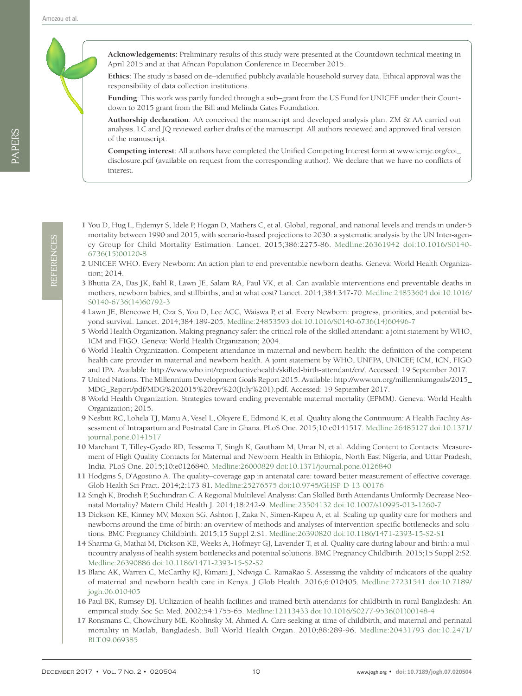**Acknowledgements:** Preliminary results of this study were presented at the Countdown technical meeting in April 2015 and at that African Population Conference in December 2015.

**Ethics**: The study is based on de–identified publicly available household survey data. Ethical approval was the responsibility of data collection institutions.

**Funding**: This work was partly funded through a sub–grant from the US Fund for UNICEF under their Countdown to 2015 grant from the Bill and Melinda Gates Foundation.

**Authorship declaration**: AA conceived the manuscript and developed analysis plan. ZM & AA carried out analysis. LC and JQ reviewed earlier drafts of the manuscript. All authors reviewed and approved final version of the manuscript.

**Competing interest**: All authors have completed the Unified Competing Interest form at www.icmje.org/coi\_ disclosure.pdf (available on request from the corresponding author). We declare that we have no conflicts of interest.

- <span id="page-9-0"></span> 1 You D, Hug L, Ejdemyr S, Idele P, Hogan D, Mathers C, et al. Global, regional, and national levels and trends in under-5 mortality between 1990 and 2015, with scenario-based projections to 2030: a systematic analysis by the UN Inter-agency Group for Child Mortality Estimation. Lancet. 2015;386:2275-86[. Medline:26361942](https://www.ncbi.nlm.nih.gov/entrez/query.fcgi?cmd=Retrieve&db=PubMed&list_uids=26361942&dopt=Abstract) [doi:10.1016/S0140-](https://doi.org/10.1016/S0140-6736(15)00120-8) [6736\(15\)00120-8](https://doi.org/10.1016/S0140-6736(15)00120-8)
- <span id="page-9-1"></span> 2 UNICEF. WHO. Every Newborn: An action plan to end preventable newborn deaths. Geneva: World Health Organization; 2014.
- <span id="page-9-2"></span> 3 Bhutta ZA, Das JK, Bahl R, Lawn JE, Salam RA, Paul VK, et al. Can available interventions end preventable deaths in mothers, newborn babies, and stillbirths, and at what cost? Lancet. 2014;384:347-70. [Medline:24853604](https://www.ncbi.nlm.nih.gov/entrez/query.fcgi?cmd=Retrieve&db=PubMed&list_uids=24853604&dopt=Abstract) [doi:10.1016/](https://doi.org/10.1016/S0140-6736(14)60792-3) [S0140-6736\(14\)60792-3](https://doi.org/10.1016/S0140-6736(14)60792-3)
- <span id="page-9-3"></span> 4 Lawn JE, Blencowe H, Oza S, You D, Lee ACC, Waiswa P, et al. Every Newborn: progress, priorities, and potential beyond survival. Lancet. 2014;384:189-205. [Medline:24853593](https://www.ncbi.nlm.nih.gov/entrez/query.fcgi?cmd=Retrieve&db=PubMed&list_uids=24853593&dopt=Abstract) [doi:10.1016/S0140-6736\(14\)60496-7](https://doi.org/10.1016/S0140-6736(14)60496-7)
- <span id="page-9-4"></span> 5 World Health Organization. Making pregnancy safer: the critical role of the skilled attendant: a joint statement by WHO, ICM and FIGO. Geneva: World Health Organization; 2004.
- <span id="page-9-5"></span> 6 World Health Organization. Competent attendance in maternal and newborn health: the definition of the competent health care provider in maternal and newborn health. A joint statement by WHO, UNFPA, UNICEF, ICM, ICN, FIGO and IPA. Available: http://www.who.int/reproductivehealth/skilled-birth-attendant/en/. Accessed: 19 September 2017.
- <span id="page-9-6"></span> 7 United Nations. The Millennium Development Goals Report 2015. Available: http://www.un.org/millenniumgoals/2015\_ MDG\_Report/pdf/MDG%202015%20rev%20(July%201).pdf. Accessed: 19 September 2017.
- <span id="page-9-7"></span> 8 World Health Organization. Strategies toward ending preventable maternal mortality (EPMM). Geneva: World Health Organization; 2015.
- <span id="page-9-8"></span> 9 Nesbitt RC, Lohela TJ, Manu A, Vesel L, Okyere E, Edmond K, et al. Quality along the Continuum: A Health Facility Assessment of Intrapartum and Postnatal Care in Ghana. PLoS One. 2015;10:e0141517. [Medline:26485127](https://www.ncbi.nlm.nih.gov/entrez/query.fcgi?cmd=Retrieve&db=PubMed&list_uids=26485127&dopt=Abstract) [doi:10.1371/](https://doi.org/10.1371/journal.pone.0141517) [journal.pone.0141517](https://doi.org/10.1371/journal.pone.0141517)
- 10 Marchant T, Tilley-Gyado RD, Tessema T, Singh K, Gautham M, Umar N, et al. Adding Content to Contacts: Measurement of High Quality Contacts for Maternal and Newborn Health in Ethiopia, North East Nigeria, and Uttar Pradesh, India. PLoS One. 2015;10:e0126840. [Medline:26000829](https://www.ncbi.nlm.nih.gov/entrez/query.fcgi?cmd=Retrieve&db=PubMed&list_uids=26000829&dopt=Abstract) [doi:10.1371/journal.pone.0126840](https://doi.org/10.1371/journal.pone.0126840)
- <span id="page-9-9"></span>11 Hodgins S, D'Agostino A. The quality–coverage gap in antenatal care: toward better measurement of effective coverage. Glob Health Sci Pract. 2014;2:173-81. [Medline:25276575](https://www.ncbi.nlm.nih.gov/entrez/query.fcgi?cmd=Retrieve&db=PubMed&list_uids=25276575&dopt=Abstract) [doi:10.9745/GHSP-D-13-00176](https://doi.org/10.9745/GHSP-D-13-00176)
- <span id="page-9-10"></span>12 Singh K, Brodish P, Suchindran C. A Regional Multilevel Analysis: Can Skilled Birth Attendants Uniformly Decrease Neonatal Mortality? Matern Child Health J. 2014;18:242-9. [Medline:23504132](https://www.ncbi.nlm.nih.gov/entrez/query.fcgi?cmd=Retrieve&db=PubMed&list_uids=23504132&dopt=Abstract) [doi:10.1007/s10995-013-1260-7](https://doi.org/10.1007/s10995-013-1260-7)
- <span id="page-9-11"></span>13 Dickson KE, Kinney MV, Moxon SG, Ashton J, Zaka N, Simen-Kapeu A, et al. Scaling up quality care for mothers and newborns around the time of birth: an overview of methods and analyses of intervention-specific bottlenecks and solutions. BMC Pregnancy Childbirth. 2015;15 Suppl 2:S1. [Medline:26390820](https://www.ncbi.nlm.nih.gov/entrez/query.fcgi?cmd=Retrieve&db=PubMed&list_uids=26390820&dopt=Abstract) [doi:10.1186/1471-2393-15-S2-S1](https://doi.org/10.1186/1471-2393-15-S2-S1)
- <span id="page-9-12"></span>14 Sharma G, Mathai M, Dickson KE, Weeks A, Hofmeyr GJ, Lavender T, et al. Quality care during labour and birth: a multicountry analysis of health system bottlenecks and potential solutions. BMC Pregnancy Childbirth. 2015;15 Suppl 2:S2. [Medline:26390886](https://www.ncbi.nlm.nih.gov/entrez/query.fcgi?cmd=Retrieve&db=PubMed&list_uids=26390886&dopt=Abstract) [doi:10.1186/1471-2393-15-S2-S2](https://doi.org/10.1186/1471-2393-15-S2-S2)
- <span id="page-9-13"></span>15 Blanc AK, Warren C, McCarthy KJ, Kimani J, Ndwiga C. RamaRao S. Assessing the validity of indicators of the quality of maternal and newborn health care in Kenya. J Glob Health. 2016;6:010405. [Medline:27231541](https://www.ncbi.nlm.nih.gov/entrez/query.fcgi?cmd=Retrieve&db=PubMed&list_uids=27231541&dopt=Abstract) [doi:10.7189/](https://doi.org/10.7189/jogh.06.010405) [jogh.06.010405](https://doi.org/10.7189/jogh.06.010405)
- <span id="page-9-14"></span>16 Paul BK, Rumsey DJ. Utilization of health facilities and trained birth attendants for childbirth in rural Bangladesh: An empirical study. Soc Sci Med. 2002;54:1755-65. [Medline:12113433](https://www.ncbi.nlm.nih.gov/entrez/query.fcgi?cmd=Retrieve&db=PubMed&list_uids=12113433&dopt=Abstract) [doi:10.1016/S0277-9536\(01\)00148-4](https://doi.org/10.1016/S0277-9536(01)00148-4)
- 17 Ronsmans C, Chowdhury ME, Koblinsky M, Ahmed A. Care seeking at time of childbirth, and maternal and perinatal mortality in Matlab, Bangladesh. Bull World Health Organ. 2010;88:289-96. [Medline:20431793](https://www.ncbi.nlm.nih.gov/entrez/query.fcgi?cmd=Retrieve&db=PubMed&list_uids=20431793&dopt=Abstract) [doi:10.2471/](https://doi.org/10.2471/BLT.09.069385) [BLT.09.069385](https://doi.org/10.2471/BLT.09.069385)